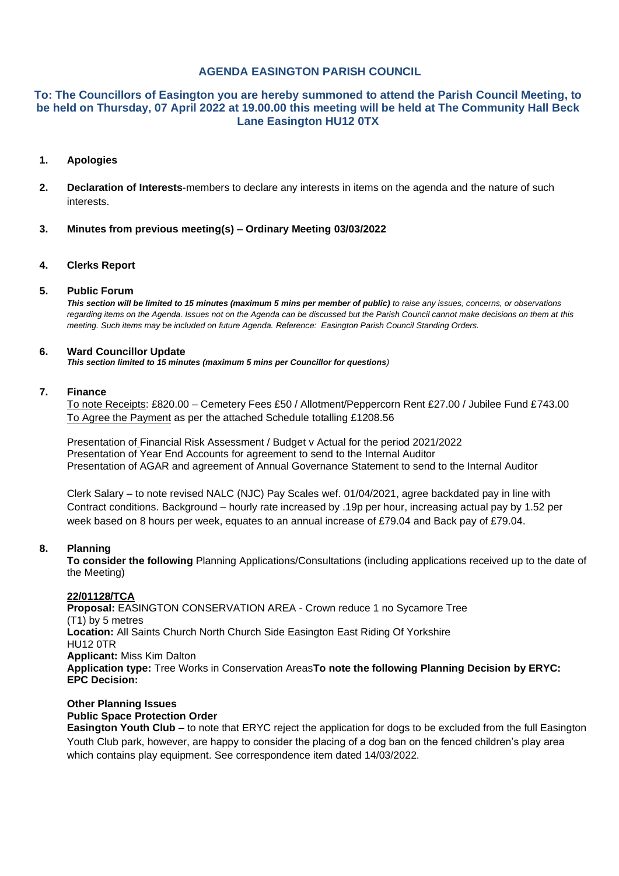# **AGENDA EASINGTON PARISH COUNCIL**

# **To: The Councillors of Easington you are hereby summoned to attend the Parish Council Meeting, to be held on Thursday, 07 April 2022 at 19.00.00 this meeting will be held at The Community Hall Beck Lane Easington HU12 0TX**

#### **1. Apologies**

- **2. Declaration of Interests**-members to declare any interests in items on the agenda and the nature of such **interests**
- **3. Minutes from previous meeting(s) – Ordinary Meeting 03/03/2022**

#### **4. Clerks Report**

#### **5. Public Forum**

*This section will be limited to 15 minutes (maximum 5 mins per member of public) to raise any issues, concerns, or observations regarding items on the Agenda. Issues not on the Agenda can be discussed but the Parish Council cannot make decisions on them at this meeting. Such items may be included on future Agenda. Reference: Easington Parish Council Standing Orders.*

#### **6. Ward Councillor Update**

*This section limited to 15 minutes (maximum 5 mins per Councillor for questions)*

#### **7. Finance**

To note Receipts: £820.00 – Cemetery Fees £50 / Allotment/Peppercorn Rent £27.00 / Jubilee Fund £743.00 To Agree the Payment as per the attached Schedule totalling £1208.56

Presentation of Financial Risk Assessment / Budget v Actual for the period 2021/2022 Presentation of Year End Accounts for agreement to send to the Internal Auditor Presentation of AGAR and agreement of Annual Governance Statement to send to the Internal Auditor

Clerk Salary – to note revised NALC (NJC) Pay Scales wef. 01/04/2021, agree backdated pay in line with Contract conditions. Background – hourly rate increased by .19p per hour, increasing actual pay by 1.52 per week based on 8 hours per week, equates to an annual increase of £79.04 and Back pay of £79.04.

#### **8. Planning**

**To consider the following** Planning Applications/Consultations (including applications received up to the date of the Meeting)

## **22/01128/TCA**

**Proposal:** EASINGTON CONSERVATION AREA - Crown reduce 1 no Sycamore Tree (T1) by 5 metres **Location:** All Saints Church North Church Side Easington East Riding Of Yorkshire HU12 0TR **Applicant:** Miss Kim Dalton **Application type:** Tree Works in Conservation Areas**To note the following Planning Decision by ERYC: EPC Decision:**

# **Other Planning Issues Public Space Protection Order**

**Easington Youth Club** – to note that ERYC reject the application for dogs to be excluded from the full Easington Youth Club park, however, are happy to consider the placing of a dog ban on the fenced children's play area which contains play equipment. See correspondence item dated 14/03/2022.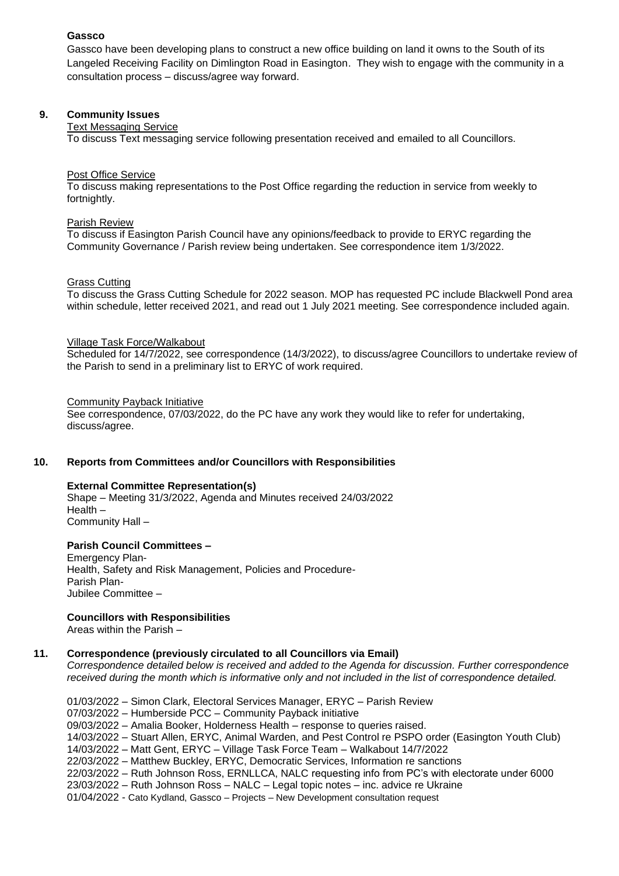# **Gassco**

Gassco have been developing plans to construct a new office building on land it owns to the South of its Langeled Receiving Facility on Dimlington Road in Easington. They wish to engage with the community in a consultation process – discuss/agree way forward.

## **9. Community Issues**

#### Text Messaging Service

To discuss Text messaging service following presentation received and emailed to all Councillors.

#### Post Office Service

To discuss making representations to the Post Office regarding the reduction in service from weekly to fortnightly.

#### Parish Review

To discuss if Easington Parish Council have any opinions/feedback to provide to ERYC regarding the Community Governance / Parish review being undertaken. See correspondence item 1/3/2022.

#### Grass Cutting

To discuss the Grass Cutting Schedule for 2022 season. MOP has requested PC include Blackwell Pond area within schedule, letter received 2021, and read out 1 July 2021 meeting. See correspondence included again.

#### Village Task Force/Walkabout

Scheduled for 14/7/2022, see correspondence (14/3/2022), to discuss/agree Councillors to undertake review of the Parish to send in a preliminary list to ERYC of work required.

#### Community Payback Initiative

See correspondence, 07/03/2022, do the PC have any work they would like to refer for undertaking, discuss/agree.

## **10. Reports from Committees and/or Councillors with Responsibilities**

#### **External Committee Representation(s)**

Shape – Meeting 31/3/2022, Agenda and Minutes received 24/03/2022 Health – Community Hall –

#### **Parish Council Committees –**

Emergency Plan-Health, Safety and Risk Management, Policies and Procedure-Parish Plan-Jubilee Committee –

#### **Councillors with Responsibilities**

Areas within the Parish –

#### **11. Correspondence (previously circulated to all Councillors via Email)**

*Correspondence detailed below is received and added to the Agenda for discussion. Further correspondence received during the month which is informative only and not included in the list of correspondence detailed.*

01/03/2022 – Simon Clark, Electoral Services Manager, ERYC – Parish Review 07/03/2022 – Humberside PCC – Community Payback initiative 09/03/2022 – Amalia Booker, Holderness Health – response to queries raised. 14/03/2022 – Stuart Allen, ERYC, Animal Warden, and Pest Control re PSPO order (Easington Youth Club) 14/03/2022 – Matt Gent, ERYC – Village Task Force Team – Walkabout 14/7/2022 22/03/2022 – Matthew Buckley, ERYC, Democratic Services, Information re sanctions 22/03/2022 – Ruth Johnson Ross, ERNLLCA, NALC requesting info from PC's with electorate under 6000 23/03/2022 – Ruth Johnson Ross – NALC – Legal topic notes – inc. advice re Ukraine 01/04/2022 - Cato Kydland, Gassco – Projects – New Development consultation request